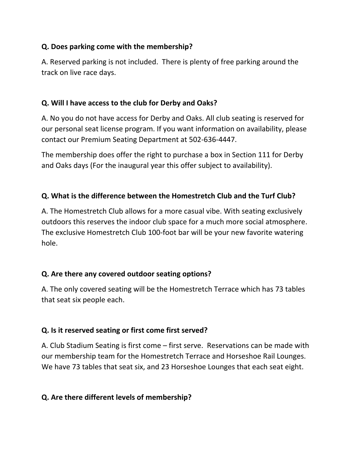## **Q. Does parking come with the membership?**

A. Reserved parking is not included. There is plenty of free parking around the track on live race days.

## **Q. Will I have access to the club for Derby and Oaks?**

A. No you do not have access for Derby and Oaks. All club seating is reserved for our personal seat license program. If you want information on availability, please contact our Premium Seating Department at 502-636-4447.

The membership does offer the right to purchase a box in Section 111 for Derby and Oaks days (For the inaugural year this offer subject to availability).

## **Q. What is the difference between the Homestretch Club and the Turf Club?**

A. The Homestretch Club allows for a more casual vibe. With seating exclusively outdoors this reserves the indoor club space for a much more social atmosphere. The exclusive Homestretch Club 100-foot bar will be your new favorite watering hole.

## **Q. Are there any covered outdoor seating options?**

A. The only covered seating will be the Homestretch Terrace which has 73 tables that seat six people each.

## **Q. Is it reserved seating or first come first served?**

A. Club Stadium Seating is first come – first serve. Reservations can be made with our membership team for the Homestretch Terrace and Horseshoe Rail Lounges. We have 73 tables that seat six, and 23 Horseshoe Lounges that each seat eight.

# **Q. Are there different levels of membership?**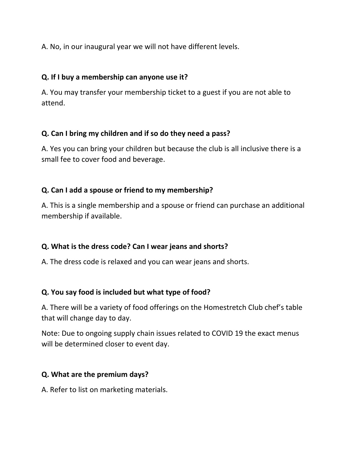A. No, in our inaugural year we will not have different levels.

#### **Q. If I buy a membership can anyone use it?**

A. You may transfer your membership ticket to a guest if you are not able to attend.

#### **Q. Can I bring my children and if so do they need a pass?**

A. Yes you can bring your children but because the club is all inclusive there is a small fee to cover food and beverage.

## **Q. Can I add a spouse or friend to my membership?**

A. This is a single membership and a spouse or friend can purchase an additional membership if available.

## **Q. What is the dress code? Can I wear jeans and shorts?**

A. The dress code is relaxed and you can wear jeans and shorts.

## **Q. You say food is included but what type of food?**

A. There will be a variety of food offerings on the Homestretch Club chef's table that will change day to day.

Note: Due to ongoing supply chain issues related to COVID 19 the exact menus will be determined closer to event day.

## **Q. What are the premium days?**

A. Refer to list on marketing materials.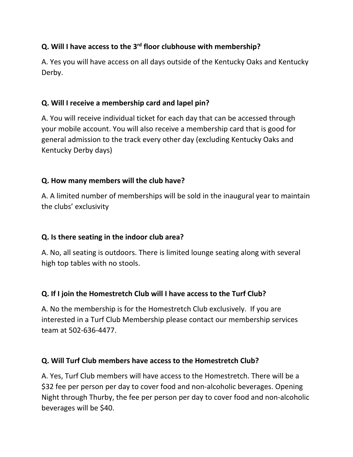# **Q. Will I have access to the 3rd floor clubhouse with membership?**

A. Yes you will have access on all days outside of the Kentucky Oaks and Kentucky Derby.

#### **Q. Will I receive a membership card and lapel pin?**

A. You will receive individual ticket for each day that can be accessed through your mobile account. You will also receive a membership card that is good for general admission to the track every other day (excluding Kentucky Oaks and Kentucky Derby days)

#### **Q. How many members will the club have?**

A. A limited number of memberships will be sold in the inaugural year to maintain the clubs' exclusivity

## **Q. Is there seating in the indoor club area?**

A. No, all seating is outdoors. There is limited lounge seating along with several high top tables with no stools.

## **Q. If I join the Homestretch Club will I have access to the Turf Club?**

A. No the membership is for the Homestretch Club exclusively. If you are interested in a Turf Club Membership please contact our membership services team at 502-636-4477.

#### **Q. Will Turf Club members have access to the Homestretch Club?**

A. Yes, Turf Club members will have access to the Homestretch. There will be a \$32 fee per person per day to cover food and non-alcoholic beverages. Opening Night through Thurby, the fee per person per day to cover food and non-alcoholic beverages will be \$40.